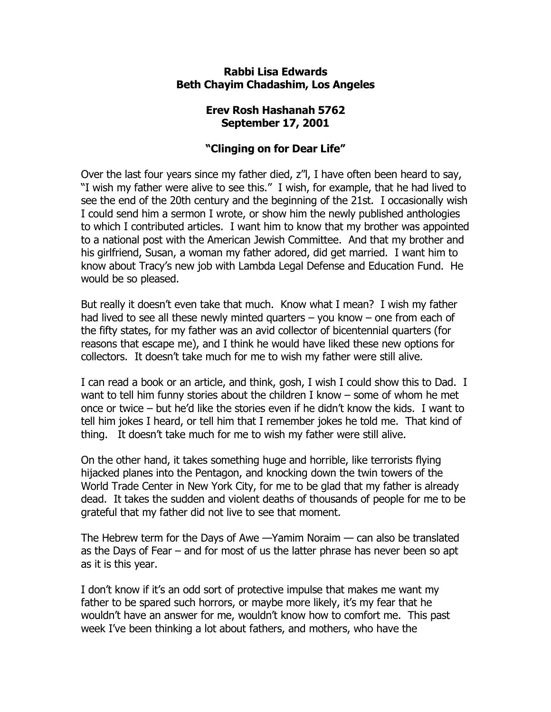## **Rabbi Lisa Edwards Beth Chayim Chadashim, Los Angeles**

## **Erev Rosh Hashanah 5762 September 17, 2001**

## **"Clinging on for Dear Life"**

Over the last four years since my father died, z"l, I have often been heard to say, "I wish my father were alive to see this." I wish, for example, that he had lived to see the end of the 20th century and the beginning of the 21st. I occasionally wish I could send him a sermon I wrote, or show him the newly published anthologies to which I contributed articles. I want him to know that my brother was appointed to a national post with the American Jewish Committee. And that my brother and his girlfriend, Susan, a woman my father adored, did get married. I want him to know about Tracy's new job with Lambda Legal Defense and Education Fund. He would be so pleased.

But really it doesn't even take that much. Know what I mean? I wish my father had lived to see all these newly minted quarters – you know – one from each of the fifty states, for my father was an avid collector of bicentennial quarters (for reasons that escape me), and I think he would have liked these new options for collectors. It doesn't take much for me to wish my father were still alive.

I can read a book or an article, and think, gosh, I wish I could show this to Dad. I want to tell him funny stories about the children I know – some of whom he met once or twice – but he'd like the stories even if he didn't know the kids. I want to tell him jokes I heard, or tell him that I remember jokes he told me. That kind of thing. It doesn't take much for me to wish my father were still alive.

On the other hand, it takes something huge and horrible, like terrorists flying hijacked planes into the Pentagon, and knocking down the twin towers of the World Trade Center in New York City, for me to be glad that my father is already dead. It takes the sudden and violent deaths of thousands of people for me to be grateful that my father did not live to see that moment.

The Hebrew term for the Days of Awe —Yamim Noraim — can also be translated as the Days of Fear – and for most of us the latter phrase has never been so apt as it is this year.

I don't know if it's an odd sort of protective impulse that makes me want my father to be spared such horrors, or maybe more likely, it's my fear that he wouldn't have an answer for me, wouldn't know how to comfort me. This past week I've been thinking a lot about fathers, and mothers, who have the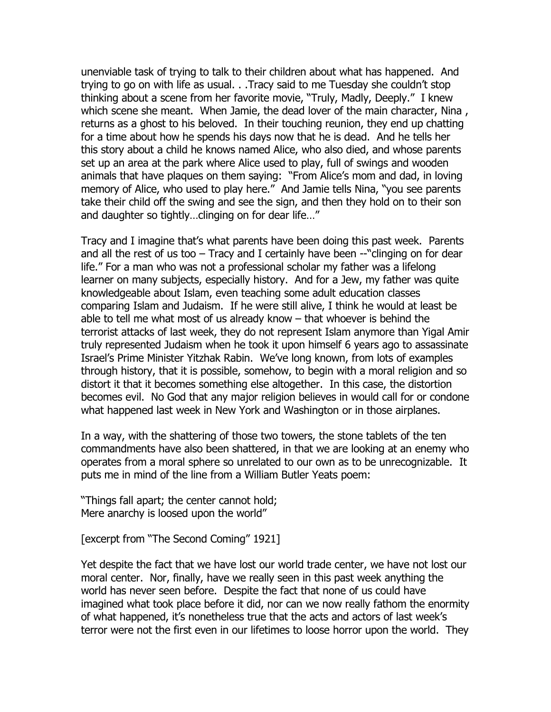unenviable task of trying to talk to their children about what has happened. And trying to go on with life as usual. . .Tracy said to me Tuesday she couldn't stop thinking about a scene from her favorite movie, "Truly, Madly, Deeply." I knew which scene she meant. When Jamie, the dead lover of the main character, Nina, returns as a ghost to his beloved. In their touching reunion, they end up chatting for a time about how he spends his days now that he is dead. And he tells her this story about a child he knows named Alice, who also died, and whose parents set up an area at the park where Alice used to play, full of swings and wooden animals that have plaques on them saying: "From Alice's mom and dad, in loving memory of Alice, who used to play here." And Jamie tells Nina, "you see parents take their child off the swing and see the sign, and then they hold on to their son and daughter so tightly…clinging on for dear life…"

Tracy and I imagine that's what parents have been doing this past week. Parents and all the rest of us too – Tracy and I certainly have been --"clinging on for dear life." For a man who was not a professional scholar my father was a lifelong learner on many subjects, especially history. And for a Jew, my father was quite knowledgeable about Islam, even teaching some adult education classes comparing Islam and Judaism. If he were still alive, I think he would at least be able to tell me what most of us already know – that whoever is behind the terrorist attacks of last week, they do not represent Islam anymore than Yigal Amir truly represented Judaism when he took it upon himself 6 years ago to assassinate Israel's Prime Minister Yitzhak Rabin. We've long known, from lots of examples through history, that it is possible, somehow, to begin with a moral religion and so distort it that it becomes something else altogether. In this case, the distortion becomes evil. No God that any major religion believes in would call for or condone what happened last week in New York and Washington or in those airplanes.

In a way, with the shattering of those two towers, the stone tablets of the ten commandments have also been shattered, in that we are looking at an enemy who operates from a moral sphere so unrelated to our own as to be unrecognizable. It puts me in mind of the line from a William Butler Yeats poem:

"Things fall apart; the center cannot hold; Mere anarchy is loosed upon the world"

[excerpt from "The Second Coming" 1921]

Yet despite the fact that we have lost our world trade center, we have not lost our moral center. Nor, finally, have we really seen in this past week anything the world has never seen before. Despite the fact that none of us could have imagined what took place before it did, nor can we now really fathom the enormity of what happened, it's nonetheless true that the acts and actors of last week's terror were not the first even in our lifetimes to loose horror upon the world. They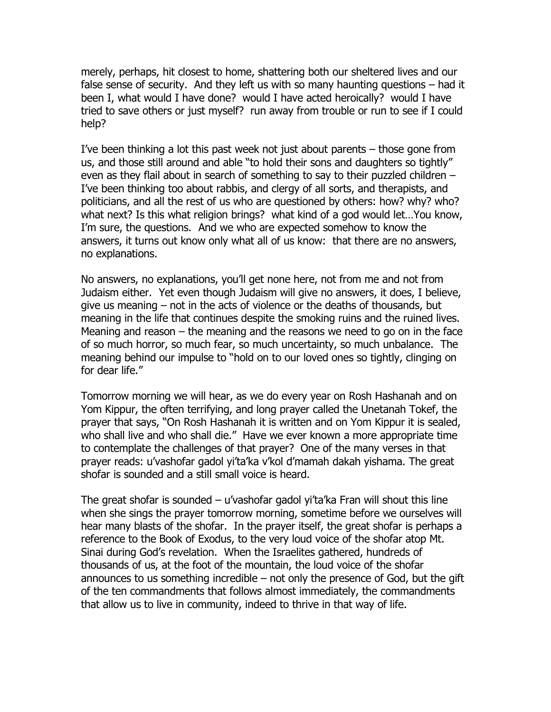merely, perhaps, hit closest to home, shattering both our sheltered lives and our false sense of security. And they left us with so many haunting questions – had it been I, what would I have done? would I have acted heroically? would I have tried to save others or just myself? run away from trouble or run to see if I could help?

I've been thinking a lot this past week not just about parents – those gone from us, and those still around and able "to hold their sons and daughters so tightly" even as they flail about in search of something to say to their puzzled children – I've been thinking too about rabbis, and clergy of all sorts, and therapists, and politicians, and all the rest of us who are questioned by others: how? why? who? what next? Is this what religion brings? what kind of a god would let…You know, I'm sure, the questions. And we who are expected somehow to know the answers, it turns out know only what all of us know: that there are no answers, no explanations.

No answers, no explanations, you'll get none here, not from me and not from Judaism either. Yet even though Judaism will give no answers, it does, I believe, give us meaning – not in the acts of violence or the deaths of thousands, but meaning in the life that continues despite the smoking ruins and the ruined lives. Meaning and reason – the meaning and the reasons we need to go on in the face of so much horror, so much fear, so much uncertainty, so much unbalance. The meaning behind our impulse to "hold on to our loved ones so tightly, clinging on for dear life."

Tomorrow morning we will hear, as we do every year on Rosh Hashanah and on Yom Kippur, the often terrifying, and long prayer called the Unetanah Tokef, the prayer that says, "On Rosh Hashanah it is written and on Yom Kippur it is sealed, who shall live and who shall die." Have we ever known a more appropriate time to contemplate the challenges of that prayer? One of the many verses in that prayer reads: u'vashofar gadol yi'ta'ka v'kol d'mamah dakah yishama. The great shofar is sounded and a still small voice is heard.

The great shofar is sounded – u'vashofar gadol yi'ta'ka Fran will shout this line when she sings the prayer tomorrow morning, sometime before we ourselves will hear many blasts of the shofar. In the prayer itself, the great shofar is perhaps a reference to the Book of Exodus, to the very loud voice of the shofar atop Mt. Sinai during God's revelation. When the Israelites gathered, hundreds of thousands of us, at the foot of the mountain, the loud voice of the shofar announces to us something incredible  $-$  not only the presence of God, but the gift of the ten commandments that follows almost immediately, the commandments that allow us to live in community, indeed to thrive in that way of life.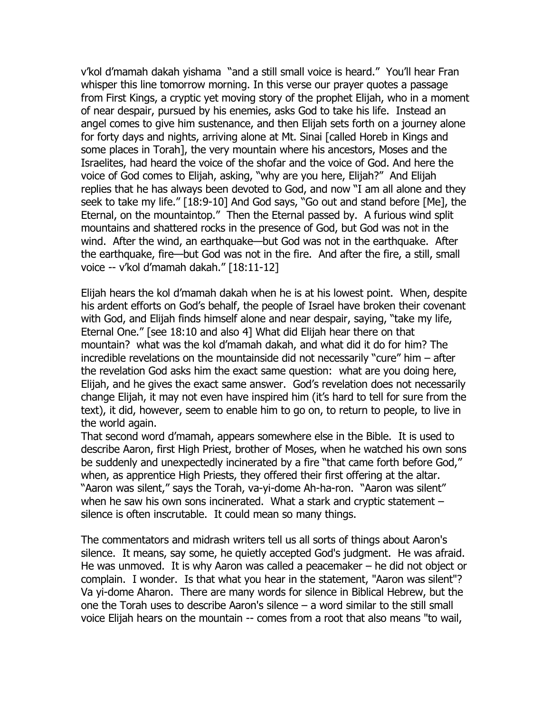v'kol d'mamah dakah yishama "and a still small voice is heard." You'll hear Fran whisper this line tomorrow morning. In this verse our prayer quotes a passage from First Kings, a cryptic yet moving story of the prophet Elijah, who in a moment of near despair, pursued by his enemies, asks God to take his life. Instead an angel comes to give him sustenance, and then Elijah sets forth on a journey alone for forty days and nights, arriving alone at Mt. Sinai [called Horeb in Kings and some places in Torah], the very mountain where his ancestors, Moses and the Israelites, had heard the voice of the shofar and the voice of God. And here the voice of God comes to Elijah, asking, "why are you here, Elijah?" And Elijah replies that he has always been devoted to God, and now "I am all alone and they seek to take my life." [18:9-10] And God says, "Go out and stand before [Me], the Eternal, on the mountaintop." Then the Eternal passed by. A furious wind split mountains and shattered rocks in the presence of God, but God was not in the wind. After the wind, an earthquake—but God was not in the earthquake. After the earthquake, fire—but God was not in the fire. And after the fire, a still, small voice -- v'kol d'mamah dakah." [18:11-12]

Elijah hears the kol d'mamah dakah when he is at his lowest point. When, despite his ardent efforts on God's behalf, the people of Israel have broken their covenant with God, and Elijah finds himself alone and near despair, saying, "take my life, Eternal One." [see 18:10 and also 4] What did Elijah hear there on that mountain? what was the kol d'mamah dakah, and what did it do for him? The incredible revelations on the mountainside did not necessarily "cure" him – after the revelation God asks him the exact same question: what are you doing here, Elijah, and he gives the exact same answer. God's revelation does not necessarily change Elijah, it may not even have inspired him (it's hard to tell for sure from the text), it did, however, seem to enable him to go on, to return to people, to live in the world again.

That second word d'mamah, appears somewhere else in the Bible. It is used to describe Aaron, first High Priest, brother of Moses, when he watched his own sons be suddenly and unexpectedly incinerated by a fire "that came forth before God," when, as apprentice High Priests, they offered their first offering at the altar. "Aaron was silent," says the Torah, va-yi-dome Ah-ha-ron. "Aaron was silent" when he saw his own sons incinerated. What a stark and cryptic statement – silence is often inscrutable. It could mean so many things.

The commentators and midrash writers tell us all sorts of things about Aaron's silence. It means, say some, he quietly accepted God's judgment. He was afraid. He was unmoved. It is why Aaron was called a peacemaker – he did not object or complain. I wonder. Is that what you hear in the statement, "Aaron was silent"? Va yi-dome Aharon. There are many words for silence in Biblical Hebrew, but the one the Torah uses to describe Aaron's silence – a word similar to the still small voice Elijah hears on the mountain -- comes from a root that also means "to wail,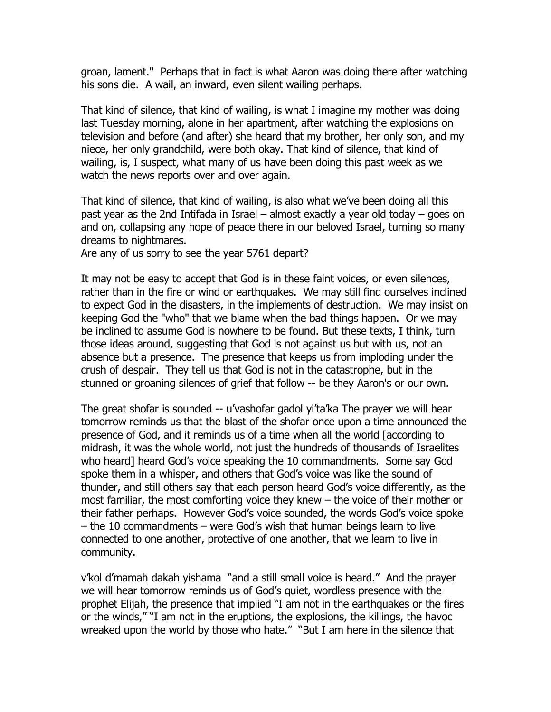groan, lament." Perhaps that in fact is what Aaron was doing there after watching his sons die. A wail, an inward, even silent wailing perhaps.

That kind of silence, that kind of wailing, is what I imagine my mother was doing last Tuesday morning, alone in her apartment, after watching the explosions on television and before (and after) she heard that my brother, her only son, and my niece, her only grandchild, were both okay. That kind of silence, that kind of wailing, is, I suspect, what many of us have been doing this past week as we watch the news reports over and over again.

That kind of silence, that kind of wailing, is also what we've been doing all this past year as the 2nd Intifada in Israel – almost exactly a year old today – goes on and on, collapsing any hope of peace there in our beloved Israel, turning so many dreams to nightmares.

Are any of us sorry to see the year 5761 depart?

It may not be easy to accept that God is in these faint voices, or even silences, rather than in the fire or wind or earthquakes. We may still find ourselves inclined to expect God in the disasters, in the implements of destruction. We may insist on keeping God the "who" that we blame when the bad things happen. Or we may be inclined to assume God is nowhere to be found. But these texts, I think, turn those ideas around, suggesting that God is not against us but with us, not an absence but a presence. The presence that keeps us from imploding under the crush of despair. They tell us that God is not in the catastrophe, but in the stunned or groaning silences of grief that follow -- be they Aaron's or our own.

The great shofar is sounded -- u'vashofar gadol yi'ta'ka The prayer we will hear tomorrow reminds us that the blast of the shofar once upon a time announced the presence of God, and it reminds us of a time when all the world [according to midrash, it was the whole world, not just the hundreds of thousands of Israelites who heard] heard God's voice speaking the 10 commandments. Some say God spoke them in a whisper, and others that God's voice was like the sound of thunder, and still others say that each person heard God's voice differently, as the most familiar, the most comforting voice they knew – the voice of their mother or their father perhaps. However God's voice sounded, the words God's voice spoke – the 10 commandments – were God's wish that human beings learn to live connected to one another, protective of one another, that we learn to live in community.

v'kol d'mamah dakah yishama "and a still small voice is heard." And the prayer we will hear tomorrow reminds us of God's quiet, wordless presence with the prophet Elijah, the presence that implied "I am not in the earthquakes or the fires or the winds," "I am not in the eruptions, the explosions, the killings, the havoc wreaked upon the world by those who hate." "But I am here in the silence that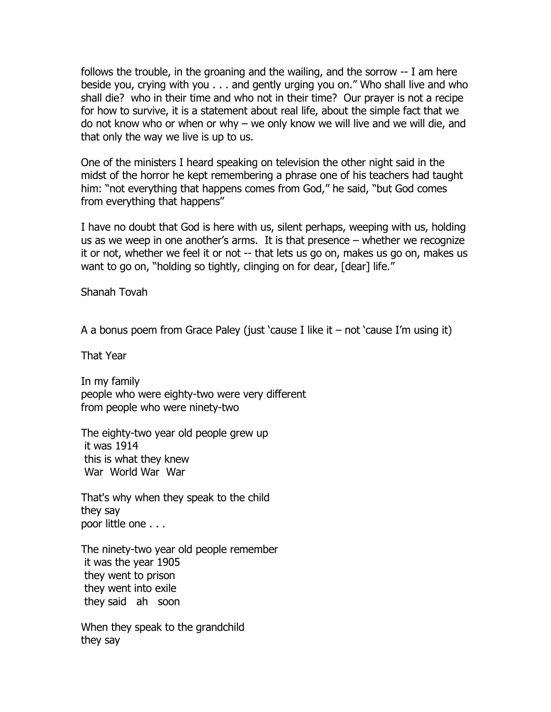follows the trouble, in the groaning and the wailing, and the sorrow -- I am here beside you, crying with you . . . and gently urging you on." Who shall live and who shall die? who in their time and who not in their time? Our prayer is not a recipe for how to survive, it is a statement about real life, about the simple fact that we do not know who or when or why – we only know we will live and we will die, and that only the way we live is up to us.

One of the ministers I heard speaking on television the other night said in the midst of the horror he kept remembering a phrase one of his teachers had taught him: "not everything that happens comes from God," he said, "but God comes from everything that happens"

I have no doubt that God is here with us, silent perhaps, weeping with us, holding us as we weep in one another's arms. It is that presence – whether we recognize it or not, whether we feel it or not -- that lets us go on, makes us go on, makes us want to go on, "holding so tightly, clinging on for dear, [dear] life."

Shanah Tovah

A a bonus poem from Grace Paley (just 'cause I like it – not 'cause I'm using it)

That Year

In my family people who were eighty-two were very different from people who were ninety-two

The eighty-two year old people grew up it was 1914 this is what they knew War World War War

That's why when they speak to the child they say poor little one . . .

The ninety-two year old people remember it was the year 1905 they went to prison they went into exile they said ah soon

When they speak to the grandchild they say